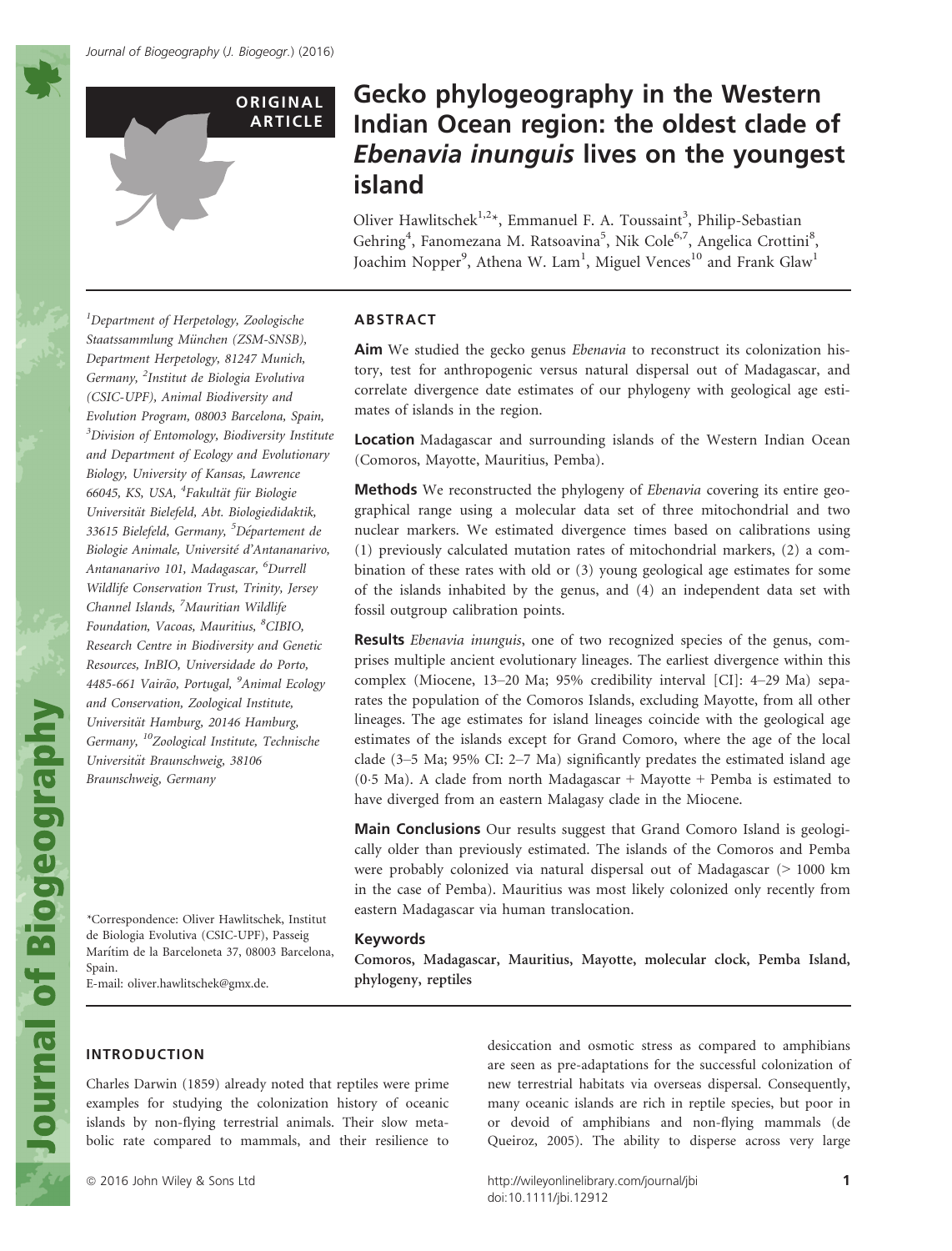**ORIGINAL** ARTICLE

# Gecko phylogeography in the Western Indian Ocean region: the oldest clade of Ebenavia inunguis lives on the youngest island

Oliver Hawlitschek<sup>1,2\*</sup>, Emmanuel F. A. Toussaint<sup>3</sup>, Philip-Sebastian Gehring<sup>4</sup>, Fanomezana M. Ratsoavina<sup>5</sup>, Nik Cole<sup>6,7</sup>, Angelica Crottini<sup>8</sup>, Joachim Nopper<sup>9</sup>, Athena W. Lam<sup>1</sup>, Miguel Vences<sup>10</sup> and Frank Glaw<sup>1</sup>

1 Department of Herpetology, Zoologische Staatssammlung München (ZSM-SNSB), Department Herpetology, 81247 Munich, Germany, <sup>2</sup>Institut de Biologia Evolutiva (CSIC-UPF), Animal Biodiversity and Evolution Program, 08003 Barcelona, Spain, <sup>3</sup>Division of Entomology, Biodiversity Institute and Department of Ecology and Evolutionary Biology, University of Kansas, Lawrence 66045, KS, USA, <sup>4</sup>Fakultät für Biologie Universität Bielefeld, Abt. Biologiedidaktik, 33615 Bielefeld, Germany, <sup>5</sup>Département de Biologie Animale, Université d'Antananarivo, Antananarivo 101, Madagascar, <sup>6</sup>Durrell Wildlife Conservation Trust, Trinity, Jersey Channel Islands, <sup>7</sup>Mauritian Wildlife Foundation, Vacoas, Mauritius, <sup>8</sup>CIBIO, Research Centre in Biodiversity and Genetic Resources, InBIO, Universidade do Porto, 4485-661 Vairão, Portugal, <sup>9</sup>Animal Ecology and Conservation, Zoological Institute, Universität Hamburg, 20146 Hamburg, Germany, 10Zoological Institute, Technische Universität Braunschweig, 38106 Braunschweig, Germany

\*Correspondence: Oliver Hawlitschek, Institut de Biologia Evolutiva (CSIC-UPF), Passeig Marıtim de la Barceloneta 37, 08003 Barcelona, Spain.

E-mail: oliver.hawlitschek@gmx.de.

## ABSTRACT

Aim We studied the gecko genus *Ebenavia* to reconstruct its colonization history, test for anthropogenic versus natural dispersal out of Madagascar, and correlate divergence date estimates of our phylogeny with geological age estimates of islands in the region.

Location Madagascar and surrounding islands of the Western Indian Ocean (Comoros, Mayotte, Mauritius, Pemba).

Methods We reconstructed the phylogeny of Ebenavia covering its entire geographical range using a molecular data set of three mitochondrial and two nuclear markers. We estimated divergence times based on calibrations using (1) previously calculated mutation rates of mitochondrial markers, (2) a combination of these rates with old or (3) young geological age estimates for some of the islands inhabited by the genus, and (4) an independent data set with fossil outgroup calibration points.

Results *Ebenavia inunguis*, one of two recognized species of the genus, comprises multiple ancient evolutionary lineages. The earliest divergence within this complex (Miocene, 13–20 Ma; 95% credibility interval [CI]: 4–29 Ma) separates the population of the Comoros Islands, excluding Mayotte, from all other lineages. The age estimates for island lineages coincide with the geological age estimates of the islands except for Grand Comoro, where the age of the local clade (3–5 Ma; 95% CI: 2–7 Ma) significantly predates the estimated island age (0.5 Ma). A clade from north Madagascar  $+$  Mayotte  $+$  Pemba is estimated to have diverged from an eastern Malagasy clade in the Miocene.

**Main Conclusions** Our results suggest that Grand Comoro Island is geologically older than previously estimated. The islands of the Comoros and Pemba were probably colonized via natural dispersal out of Madagascar (> 1000 km in the case of Pemba). Mauritius was most likely colonized only recently from eastern Madagascar via human translocation.

#### Keywords

Comoros, Madagascar, Mauritius, Mayotte, molecular clock, Pemba Island, phylogeny, reptiles

#### INTRODUCTION

Charles Darwin (1859) already noted that reptiles were prime examples for studying the colonization history of oceanic islands by non-flying terrestrial animals. Their slow metabolic rate compared to mammals, and their resilience to

desiccation and osmotic stress as compared to amphibians are seen as pre-adaptations for the successful colonization of new terrestrial habitats via overseas dispersal. Consequently, many oceanic islands are rich in reptile species, but poor in or devoid of amphibians and non-flying mammals (de Queiroz, 2005). The ability to disperse across very large

ª 2016 John Wiley & Sons Ltd http://wileyonlinelibrary.com/journal/jbi 1 doi:10.1111/jbi.12912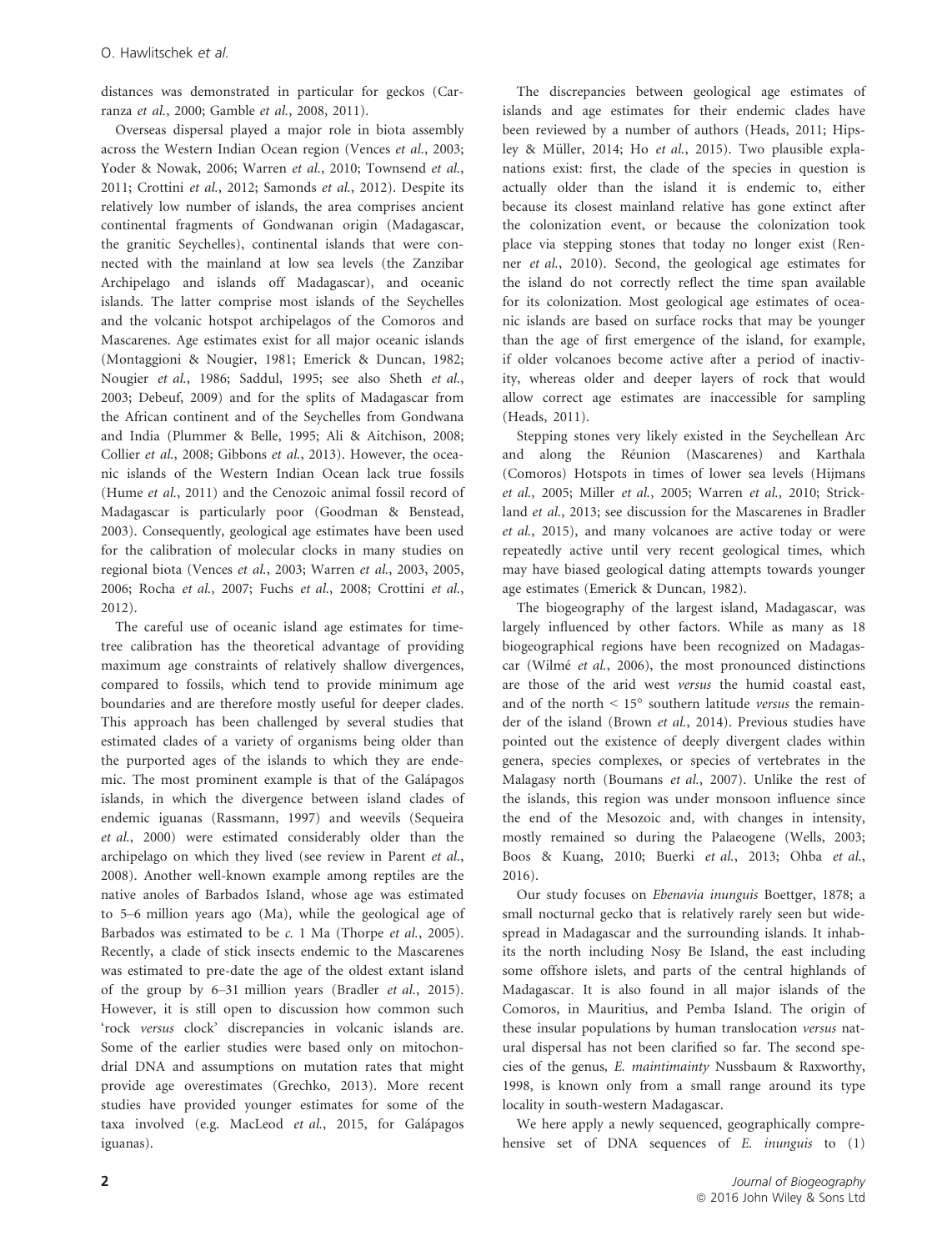distances was demonstrated in particular for geckos (Carranza et al., 2000; Gamble et al., 2008, 2011).

Overseas dispersal played a major role in biota assembly across the Western Indian Ocean region (Vences et al., 2003; Yoder & Nowak, 2006; Warren et al., 2010; Townsend et al., 2011; Crottini et al., 2012; Samonds et al., 2012). Despite its relatively low number of islands, the area comprises ancient continental fragments of Gondwanan origin (Madagascar, the granitic Seychelles), continental islands that were connected with the mainland at low sea levels (the Zanzibar Archipelago and islands off Madagascar), and oceanic islands. The latter comprise most islands of the Seychelles and the volcanic hotspot archipelagos of the Comoros and Mascarenes. Age estimates exist for all major oceanic islands (Montaggioni & Nougier, 1981; Emerick & Duncan, 1982; Nougier et al., 1986; Saddul, 1995; see also Sheth et al., 2003; Debeuf, 2009) and for the splits of Madagascar from the African continent and of the Seychelles from Gondwana and India (Plummer & Belle, 1995; Ali & Aitchison, 2008; Collier et al., 2008; Gibbons et al., 2013). However, the oceanic islands of the Western Indian Ocean lack true fossils (Hume et al., 2011) and the Cenozoic animal fossil record of Madagascar is particularly poor (Goodman & Benstead, 2003). Consequently, geological age estimates have been used for the calibration of molecular clocks in many studies on regional biota (Vences et al., 2003; Warren et al., 2003, 2005, 2006; Rocha et al., 2007; Fuchs et al., 2008; Crottini et al., 2012).

The careful use of oceanic island age estimates for timetree calibration has the theoretical advantage of providing maximum age constraints of relatively shallow divergences, compared to fossils, which tend to provide minimum age boundaries and are therefore mostly useful for deeper clades. This approach has been challenged by several studies that estimated clades of a variety of organisms being older than the purported ages of the islands to which they are endemic. The most prominent example is that of the Galápagos islands, in which the divergence between island clades of endemic iguanas (Rassmann, 1997) and weevils (Sequeira et al., 2000) were estimated considerably older than the archipelago on which they lived (see review in Parent et al., 2008). Another well-known example among reptiles are the native anoles of Barbados Island, whose age was estimated to 5–6 million years ago (Ma), while the geological age of Barbados was estimated to be  $c$ . 1 Ma (Thorpe et al., 2005). Recently, a clade of stick insects endemic to the Mascarenes was estimated to pre-date the age of the oldest extant island of the group by 6–31 million years (Bradler et al., 2015). However, it is still open to discussion how common such 'rock versus clock' discrepancies in volcanic islands are. Some of the earlier studies were based only on mitochondrial DNA and assumptions on mutation rates that might provide age overestimates (Grechko, 2013). More recent studies have provided younger estimates for some of the taxa involved (e.g. MacLeod et al., 2015, for Galápagos iguanas).

The discrepancies between geological age estimates of islands and age estimates for their endemic clades have been reviewed by a number of authors (Heads, 2011; Hipsley & Müller, 2014; Ho et al., 2015). Two plausible explanations exist: first, the clade of the species in question is actually older than the island it is endemic to, either because its closest mainland relative has gone extinct after the colonization event, or because the colonization took place via stepping stones that today no longer exist (Renner et al., 2010). Second, the geological age estimates for the island do not correctly reflect the time span available for its colonization. Most geological age estimates of oceanic islands are based on surface rocks that may be younger than the age of first emergence of the island, for example, if older volcanoes become active after a period of inactivity, whereas older and deeper layers of rock that would allow correct age estimates are inaccessible for sampling (Heads, 2011).

Stepping stones very likely existed in the Seychellean Arc and along the Reunion (Mascarenes) and Karthala (Comoros) Hotspots in times of lower sea levels (Hijmans et al., 2005; Miller et al., 2005; Warren et al., 2010; Strickland et al., 2013; see discussion for the Mascarenes in Bradler et al., 2015), and many volcanoes are active today or were repeatedly active until very recent geological times, which may have biased geological dating attempts towards younger age estimates (Emerick & Duncan, 1982).

The biogeography of the largest island, Madagascar, was largely influenced by other factors. While as many as 18 biogeographical regions have been recognized on Madagascar (Wilmé et al., 2006), the most pronounced distinctions are those of the arid west versus the humid coastal east, and of the north  $\leq 15^{\circ}$  southern latitude versus the remainder of the island (Brown et al., 2014). Previous studies have pointed out the existence of deeply divergent clades within genera, species complexes, or species of vertebrates in the Malagasy north (Boumans et al., 2007). Unlike the rest of the islands, this region was under monsoon influence since the end of the Mesozoic and, with changes in intensity, mostly remained so during the Palaeogene (Wells, 2003; Boos & Kuang, 2010; Buerki et al., 2013; Ohba et al., 2016).

Our study focuses on Ebenavia inunguis Boettger, 1878; a small nocturnal gecko that is relatively rarely seen but widespread in Madagascar and the surrounding islands. It inhabits the north including Nosy Be Island, the east including some offshore islets, and parts of the central highlands of Madagascar. It is also found in all major islands of the Comoros, in Mauritius, and Pemba Island. The origin of these insular populations by human translocation versus natural dispersal has not been clarified so far. The second species of the genus, E. maintimainty Nussbaum & Raxworthy, 1998, is known only from a small range around its type locality in south-western Madagascar.

We here apply a newly sequenced, geographically comprehensive set of DNA sequences of E. inunguis to (1)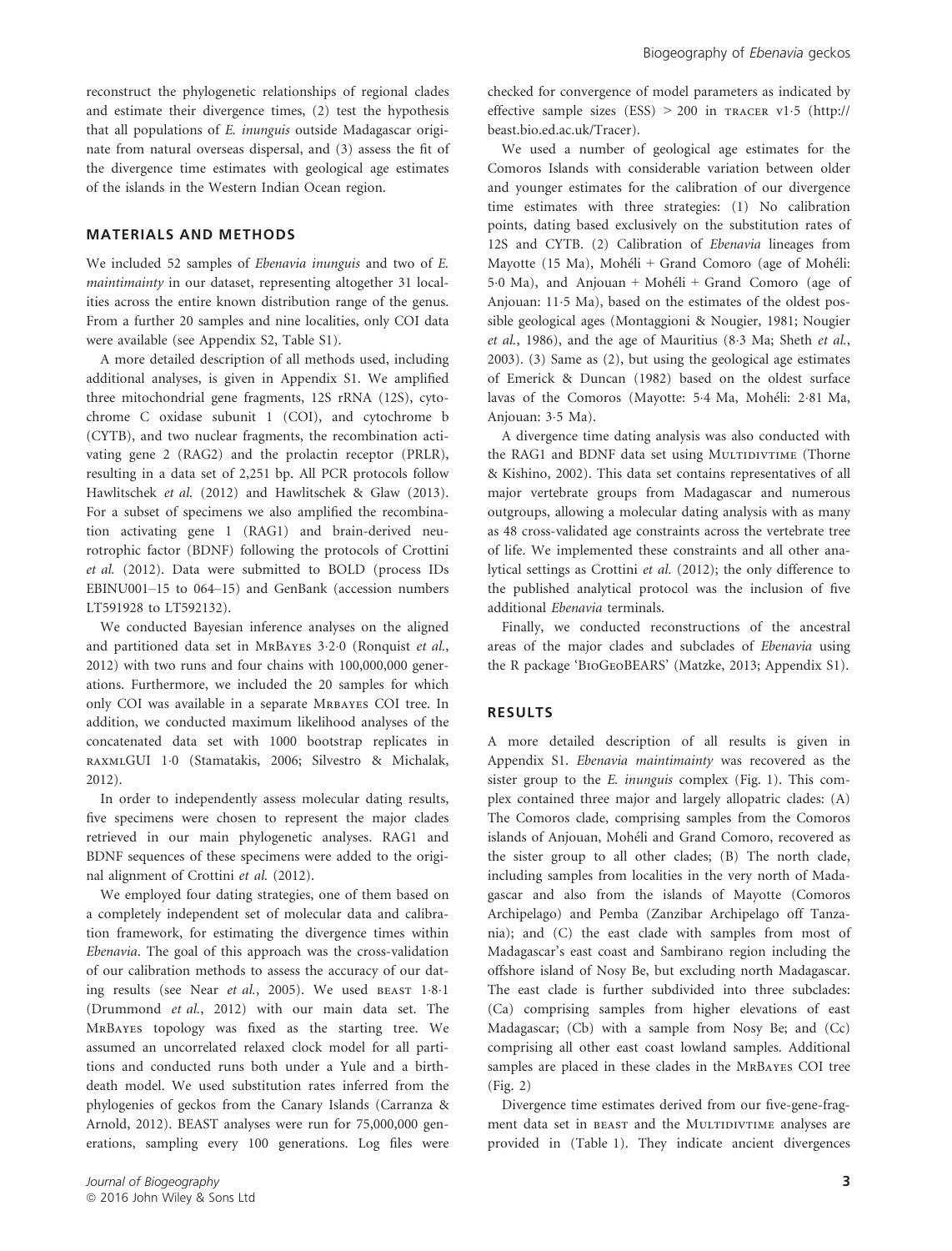reconstruct the phylogenetic relationships of regional clades and estimate their divergence times, (2) test the hypothesis that all populations of E. inunguis outside Madagascar originate from natural overseas dispersal, and (3) assess the fit of the divergence time estimates with geological age estimates of the islands in the Western Indian Ocean region.

#### MATERIALS AND METHODS

We included 52 samples of Ebenavia inunguis and two of E. maintimainty in our dataset, representing altogether 31 localities across the entire known distribution range of the genus. From a further 20 samples and nine localities, only COI data were available (see Appendix S2, Table S1).

A more detailed description of all methods used, including additional analyses, is given in Appendix S1. We amplified three mitochondrial gene fragments, 12S rRNA (12S), cytochrome C oxidase subunit 1 (COI), and cytochrome b (CYTB), and two nuclear fragments, the recombination activating gene 2 (RAG2) and the prolactin receptor (PRLR), resulting in a data set of 2,251 bp. All PCR protocols follow Hawlitschek et al. (2012) and Hawlitschek & Glaw (2013). For a subset of specimens we also amplified the recombination activating gene 1 (RAG1) and brain-derived neurotrophic factor (BDNF) following the protocols of Crottini et al. (2012). Data were submitted to BOLD (process IDs EBINU001–15 to 064–15) and GenBank (accession numbers LT591928 to LT592132).

We conducted Bayesian inference analyses on the aligned and partitioned data set in MrBayes <sup>3</sup>20 (Ronquist et al., 2012) with two runs and four chains with 100,000,000 generations. Furthermore, we included the 20 samples for which only COI was available in a separate MRBAYES COI tree. In addition, we conducted maximum likelihood analyses of the concatenated data set with 1000 bootstrap replicates in raxmlGUI 10 (Stamatakis, 2006; Silvestro & Michalak, 2012).

In order to independently assess molecular dating results, five specimens were chosen to represent the major clades retrieved in our main phylogenetic analyses. RAG1 and BDNF sequences of these specimens were added to the original alignment of Crottini et al. (2012).

We employed four dating strategies, one of them based on a completely independent set of molecular data and calibration framework, for estimating the divergence times within Ebenavia. The goal of this approach was the cross-validation of our calibration methods to assess the accuracy of our dating results (see Near et al., 2005). We used BEAST 1.8.1 (Drummond et al., 2012) with our main data set. The MrBayes topology was fixed as the starting tree. We assumed an uncorrelated relaxed clock model for all partitions and conducted runs both under a Yule and a birthdeath model. We used substitution rates inferred from the phylogenies of geckos from the Canary Islands (Carranza & Arnold, 2012). BEAST analyses were run for 75,000,000 generations, sampling every 100 generations. Log files were

checked for convergence of model parameters as indicated by effective sample sizes (ESS)  $> 200$  in TRACER v1.5 [\(http://](http://beast.bio.ed.ac.uk/Tracer) [beast.bio.ed.ac.uk/Tracer](http://beast.bio.ed.ac.uk/Tracer)).

We used a number of geological age estimates for the Comoros Islands with considerable variation between older and younger estimates for the calibration of our divergence time estimates with three strategies: (1) No calibration points, dating based exclusively on the substitution rates of 12S and CYTB. (2) Calibration of Ebenavia lineages from Mayotte (15 Ma), Moheli + Grand Comoro (age of Moheli: 50 Ma), and Anjouan + Moheli + Grand Comoro (age of Anjouan: 115 Ma), based on the estimates of the oldest possible geological ages (Montaggioni & Nougier, 1981; Nougier et al., 1986), and the age of Mauritius (83 Ma; Sheth et al., 2003). (3) Same as (2), but using the geological age estimates of Emerick & Duncan (1982) based on the oldest surface lavas of the Comoros (Mayotte: 5-4 Ma, Mohéli: 2-81 Ma, Anjouan: 3.5 Ma).

A divergence time dating analysis was also conducted with the RAG1 and BDNF data set using MULTIDIVTIME (Thorne & Kishino, 2002). This data set contains representatives of all major vertebrate groups from Madagascar and numerous outgroups, allowing a molecular dating analysis with as many as 48 cross-validated age constraints across the vertebrate tree of life. We implemented these constraints and all other analytical settings as Crottini et al. (2012); the only difference to the published analytical protocol was the inclusion of five additional Ebenavia terminals.

Finally, we conducted reconstructions of the ancestral areas of the major clades and subclades of Ebenavia using the R package 'BioGeoBEARS' (Matzke, 2013; Appendix S1).

#### RESULTS

A more detailed description of all results is given in Appendix S1. Ebenavia maintimainty was recovered as the sister group to the E. inunguis complex (Fig. 1). This complex contained three major and largely allopatric clades: (A) The Comoros clade, comprising samples from the Comoros islands of Anjouan, Moheli and Grand Comoro, recovered as the sister group to all other clades; (B) The north clade, including samples from localities in the very north of Madagascar and also from the islands of Mayotte (Comoros Archipelago) and Pemba (Zanzibar Archipelago off Tanzania); and (C) the east clade with samples from most of Madagascar's east coast and Sambirano region including the offshore island of Nosy Be, but excluding north Madagascar. The east clade is further subdivided into three subclades: (Ca) comprising samples from higher elevations of east Madagascar; (Cb) with a sample from Nosy Be; and (Cc) comprising all other east coast lowland samples. Additional samples are placed in these clades in the MrBayes COI tree (Fig. 2)

Divergence time estimates derived from our five-gene-fragment data set in BEAST and the MULTIDIVTIME analyses are provided in (Table 1). They indicate ancient divergences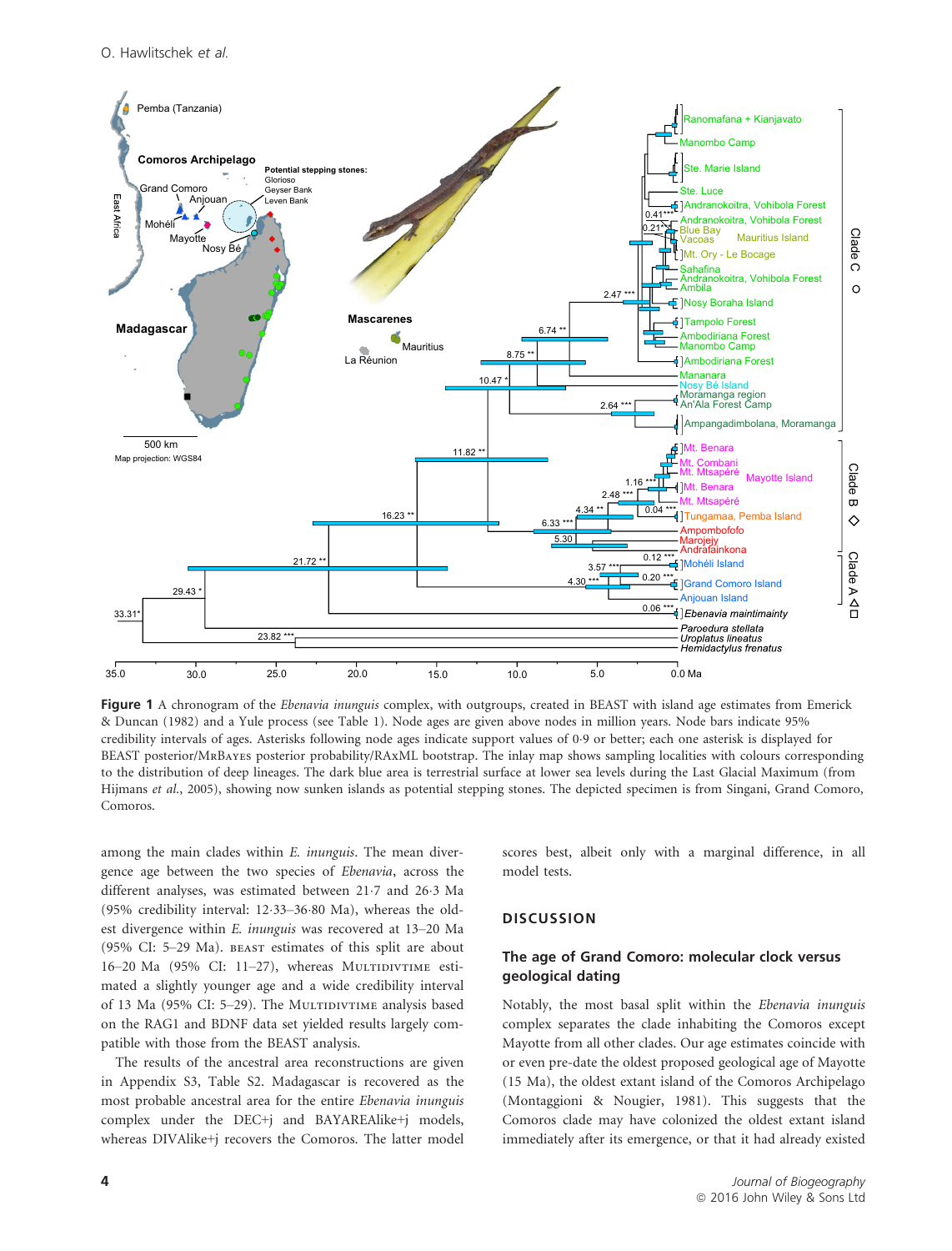

Figure 1 A chronogram of the *Ebenavia inunguis* complex, with outgroups, created in BEAST with island age estimates from Emerick & Duncan (1982) and a Yule process (see Table 1). Node ages are given above nodes in million years. Node bars indicate 95% credibility intervals of ages. Asterisks following node ages indicate support values of 09 or better; each one asterisk is displayed for BEAST posterior/MrBayes posterior probability/RAxML bootstrap. The inlay map shows sampling localities with colours corresponding to the distribution of deep lineages. The dark blue area is terrestrial surface at lower sea levels during the Last Glacial Maximum (from Hijmans et al., 2005), showing now sunken islands as potential stepping stones. The depicted specimen is from Singani, Grand Comoro, Comoros.

among the main clades within E. inunguis. The mean divergence age between the two species of Ebenavia, across the different analyses, was estimated between 217 and 263 Ma (95% credibility interval:  $12.33-36.80$  Ma), whereas the oldest divergence within E. inunguis was recovered at 13–20 Ma (95% CI: 5–29 Ma). beast estimates of this split are about 16–20 Ma (95% CI: 11–27), whereas MULTIDIVTIME estimated a slightly younger age and a wide credibility interval of 13 Ma (95% CI: 5-29). The MULTIDIVTIME analysis based on the RAG1 and BDNF data set yielded results largely compatible with those from the BEAST analysis.

The results of the ancestral area reconstructions are given in Appendix S3, Table S2. Madagascar is recovered as the most probable ancestral area for the entire Ebenavia inunguis complex under the DEC+j and BAYAREAlike+j models, whereas DIVAlike+j recovers the Comoros. The latter model scores best, albeit only with a marginal difference, in all model tests.

#### **DISCUSSION**

### The age of Grand Comoro: molecular clock versus geological dating

Notably, the most basal split within the Ebenavia inunguis complex separates the clade inhabiting the Comoros except Mayotte from all other clades. Our age estimates coincide with or even pre-date the oldest proposed geological age of Mayotte (15 Ma), the oldest extant island of the Comoros Archipelago (Montaggioni & Nougier, 1981). This suggests that the Comoros clade may have colonized the oldest extant island immediately after its emergence, or that it had already existed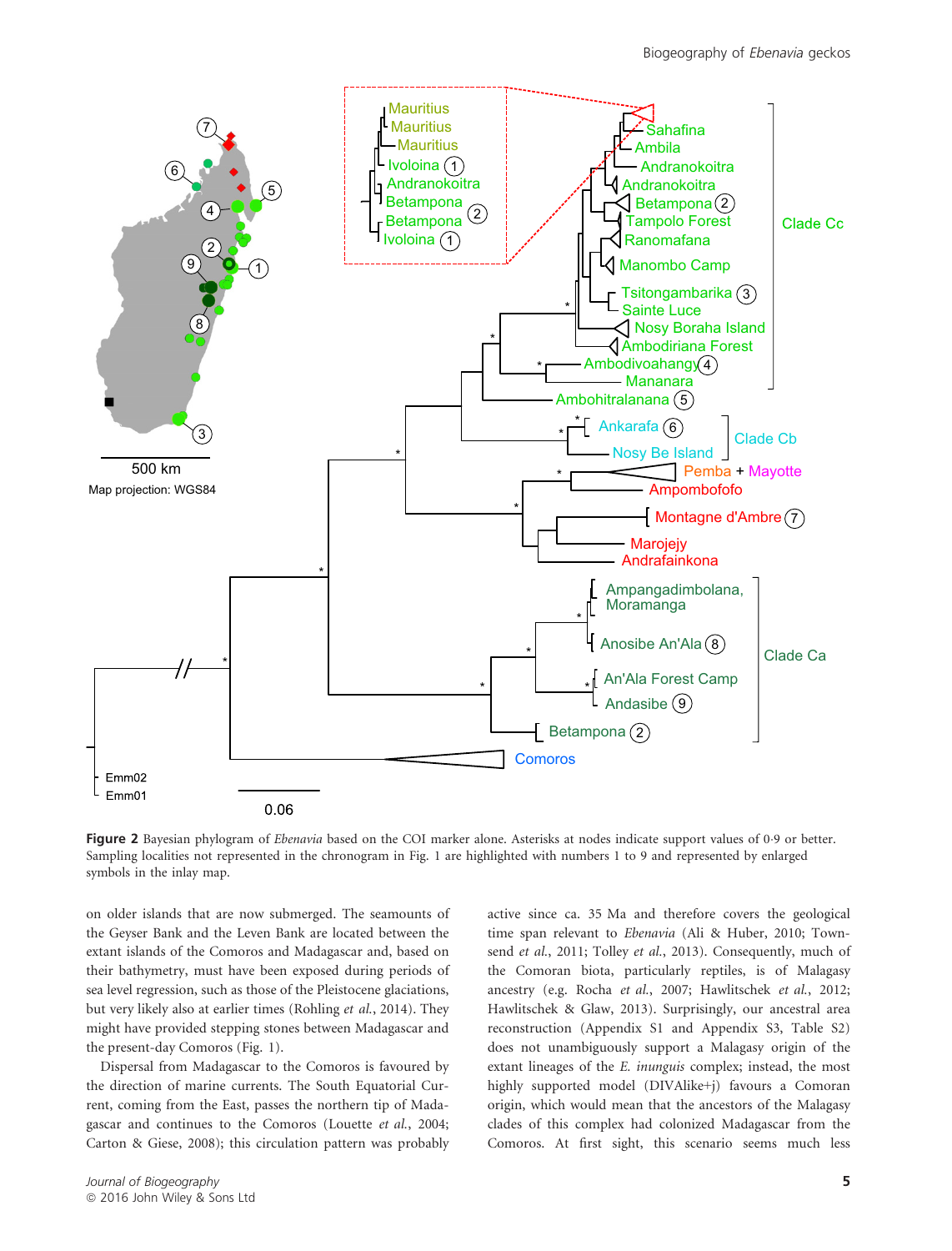

Figure 2 Bayesian phylogram of Ebenavia based on the COI marker alone. Asterisks at nodes indicate support values of 0.9 or better. Sampling localities not represented in the chronogram in Fig. 1 are highlighted with numbers 1 to 9 and represented by enlarged symbols in the inlay map.

on older islands that are now submerged. The seamounts of the Geyser Bank and the Leven Bank are located between the extant islands of the Comoros and Madagascar and, based on their bathymetry, must have been exposed during periods of sea level regression, such as those of the Pleistocene glaciations, but very likely also at earlier times (Rohling et al., 2014). They might have provided stepping stones between Madagascar and the present-day Comoros (Fig. 1).

Dispersal from Madagascar to the Comoros is favoured by the direction of marine currents. The South Equatorial Current, coming from the East, passes the northern tip of Madagascar and continues to the Comoros (Louette et al., 2004; Carton & Giese, 2008); this circulation pattern was probably active since ca. 35 Ma and therefore covers the geological time span relevant to Ebenavia (Ali & Huber, 2010; Townsend et al., 2011; Tolley et al., 2013). Consequently, much of the Comoran biota, particularly reptiles, is of Malagasy ancestry (e.g. Rocha et al., 2007; Hawlitschek et al., 2012; Hawlitschek & Glaw, 2013). Surprisingly, our ancestral area reconstruction (Appendix S1 and Appendix S3, Table S2) does not unambiguously support a Malagasy origin of the extant lineages of the E. inunguis complex; instead, the most highly supported model (DIVAlike+j) favours a Comoran origin, which would mean that the ancestors of the Malagasy clades of this complex had colonized Madagascar from the Comoros. At first sight, this scenario seems much less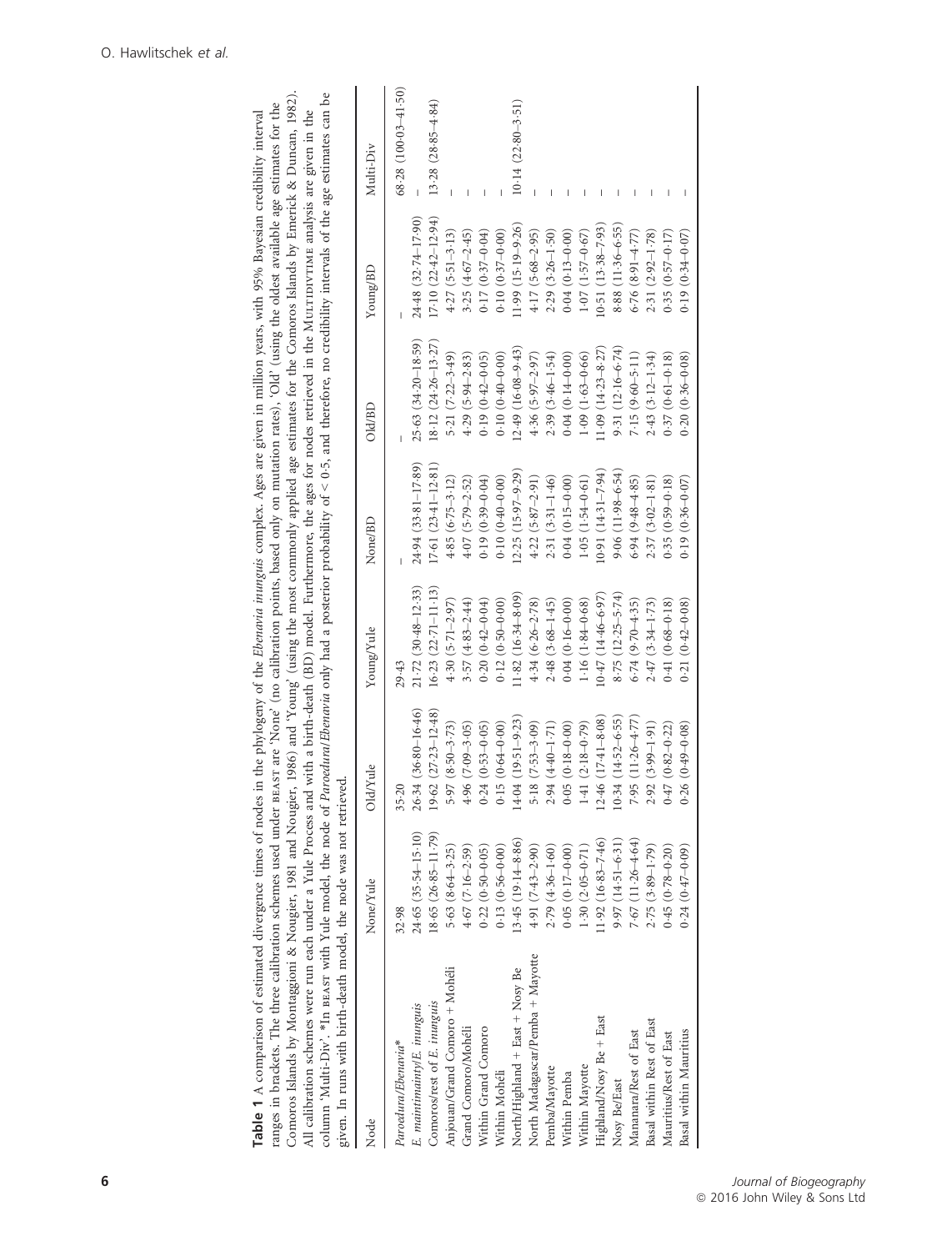| Node                             | None/Yule               | Old/Yule                  | Young/Yule              | None/BD                 | Old/BD                  | Young/BD               | Multi-Div                          |
|----------------------------------|-------------------------|---------------------------|-------------------------|-------------------------|-------------------------|------------------------|------------------------------------|
| Paroedura/Ebenavia*              | 32.98                   | $35 - 20$                 | 29.43                   |                         |                         |                        | $68.28$ (100 $\cdot$ 03 $-41.50$ ) |
| E. maintimainty/E. inunguis      | $24.65(35.54-15.10)$    | 26.34 (36.80-16.46)       | $21 - 72$ (30-48-12-33) | 24.94 (33.81-17.89)     | $25-63$ $(34-20-18-59)$ | 24.48 (32.74-17.90)    |                                    |
| Comoros/rest of E. inunguis      | $18.65(26.85 - 11.79)$  | $19.62$ $(27.23 - 12.48)$ | $16.23(22.71 - 11.13)$  | $17.61(23.41 - 12.81)$  | $18.12 (24.26 - 13.27)$ | $17.10(22.42 - 12.94)$ | $13.28(28.85 - 4.84)$              |
| Anjouan/Grand Comoro + Mohéli    | $5.63(8.64 - 3.25)$     | $5.97(8.50 - 3.73)$       | $4.30(5.71 - 2.97)$     | $4.85(6.75 - 3.12)$     | 5.21 $(7.22 - 3.49)$    | $4.27(5.51 - 3.13)$    |                                    |
| Grand Comoro/Mohéli              | $4.67(7.16 - 2.59)$     | $4.96(7.09 - 3.05)$       | $3.57(4.83 - 2.44)$     | $4.07(5.79 - 2.52)$     | $4.29(5.94 - 2.83)$     | $3.25(4.67 - 2.45)$    |                                    |
| Within Grand Comoro              | $0.22(0.50 - 0.05)$     | $0.24(0.53 - 0.05)$       | $0.20(0.42 - 0.04)$     | $0.19(0.39 - 0.04)$     | $0.19(0.42 - 0.05)$     | $0.17(0.37 - 0.04)$    |                                    |
| Within Mohéli                    | $0.13(0.56 - 0.00)$     | $0.15(0.64 - 0.00)$       | $0.12(0.50 - 0.00)$     | $0.10(0.40-0.00)$       | $0.10(0.40 - 0.00)$     | $0.10(0.37 - 0.00)$    |                                    |
| North/Highland + East + Nosy Be  | $13.45(19.14-8.86)$     | $4.04(19.51 - 9.23)$      | $(1.82)(16.34 - 8.09)$  | $(2.25 (15.97 - 9.29))$ | $(2.49(16.08-9.43))$    | 11.99 (15.19-9.26)     | $10.14(22.80 - 3.51)$              |
| North Madagascar/Pemba + Mayotte | 4.91 (7.43-2.90)        | $5.18(7.53 - 3.09)$       | $4.34(6.26 - 2.78)$     | $4.22(5.87 - 2.91)$     | $4.36(5.97-2.97)$       | 4.17 (5.68-2.95)       |                                    |
| Pemba/Mayotte                    | $2.79(4.36 - 1.60)$     | 2.94 (4.40-1.71)          | $2.48(3.68 - 1.45)$     | $2.31(3.31 - 1.46)$     | $2.39(3.46 - 1.54)$     | $2.29(3.26 - 1.50)$    |                                    |
| Within Pemba                     | $0.05(0.17-0.00)$       | $0.05(0.18-0.00)$         | $0.04(0.16 - 0.00)$     | $0.04(0.15-0.00)$       | $0.04(0.14-0.00)$       | $0.04(0.13 - 0.00)$    |                                    |
| Within Mayotte                   | $1.30(2.05 - 0.71)$     | $1.41(2.18 - 0.79)$       | $1.16(1.84 - 0.68)$     | $1.05(1.54 - 0.61)$     | $1.09(1.63 - 0.66)$     | $1.07(1.57 - 0.67)$    |                                    |
| Highland/Nosy Be + East          | $(1.92 (16.83 - 7.46))$ | $12.46(17.41 - 8.08)$     | $0.47(14.46 - 6.97)$    | $(0.91(14.31 - 7.94))$  | $1.09(14.23 - 8.27)$    | $10.51(13.38 - 7.93)$  |                                    |
| Nosy Be/East                     | $9.97(14.51 - 6.31)$    | $10.34$ $(14.52 - 6.55)$  | $8.75(12.25 - 5.74)$    | $9.06(11.98-6.54)$      | $9.31(12.16 - 6.74)$    | $8.88(11.36-6.55)$     |                                    |
| Mananara/Rest of East            | $7.67(11.26 - 4.64)$    | $7.95(11.26 - 4.77)$      | $6.74(9.70 - 4.35)$     | $6.94(9.48 - 4.85)$     | $7.15(9.60 - 5.11)$     | $6.76(8.91-4.77)$      |                                    |
| Basal within Rest of East        | 2.75 (3.89-1.79)        | 2.92 (3.99-1.91)          | $2.47(3.34-1.73)$       | $2.37(3.02 - 1.81)$     | $2.43(3.12 - 1.34)$     | 2.31 (2.92-1.78)       |                                    |
| Mauritius/Rest of East           | $0.45(0.78 - 0.20)$     | $0.47(0.82 - 0.22)$       | $0.41(0.68 - 0.18)$     | $0.35(0.59 - 0.18)$     | $0.37(0.61 - 0.18)$     | $0.35(0.57 - 0.17)$    |                                    |
| Basal within Mauritius           | $0.24(0.47-0.09)$       | $0.26(0.49 - 0.08)$       | $0.21(0.42 - 0.08)$     | $0.19(0.36 - 0.07)$     | $0.20(0.36 - 0.08)$     | $0.19(0.34 - 0.07)$    |                                    |
|                                  |                         |                           |                         |                         |                         |                        |                                    |

can he Comoros Islands by Montaggioni & Nougier, 1981 and Nougier, 1986) and 'Young' (using the most commonly applied age estimates for the Comoros Islands by Emerick & Duncan, 1982).<br>All calibration schemes were run each under a Comoros Islands by Montaggioni & Nougier, 1981 and Nougier, 1986) and 'Young' (using the most commonly applied age estimates for the Comoros Islands by Emerick & Duncan, 1982). column 'Multi-Div'. \*In beast with Yule model, the node of Paroedura/Ebenavia only had a posterior probability of < 0.5, and therefore, no credibility intervals of the age estimates can be ranges in brackets. The three calibration schemes used under BEAST are 'None' (no calibration points, based only on mutation rates), 'Old' (using the oldest available age estimates for the ranges in brackets. The three calibration schemes used under beast are 'None' (no calibration points, based only on mutation rates), 'Old' (using the oldest available age estimates for the Table 1 A comparison of estimated divergence times of nodes in the phylogeny of the Ebenavia inunguis complex. Ages are given in million years, with 95% Bayesian credibility interval Table 1 A comparison of estimated divergence times of nodes in the phylogeny of the Ebenavia inunguis complex. Ages are given in million years, with 95% Bayesian credibility interval All calibration schemes were run each under a Yule Process and with a birth-death (BD) model. Furthermore, the ages for nodes retrieved in the Mu1rInDVTIME analysis are given in the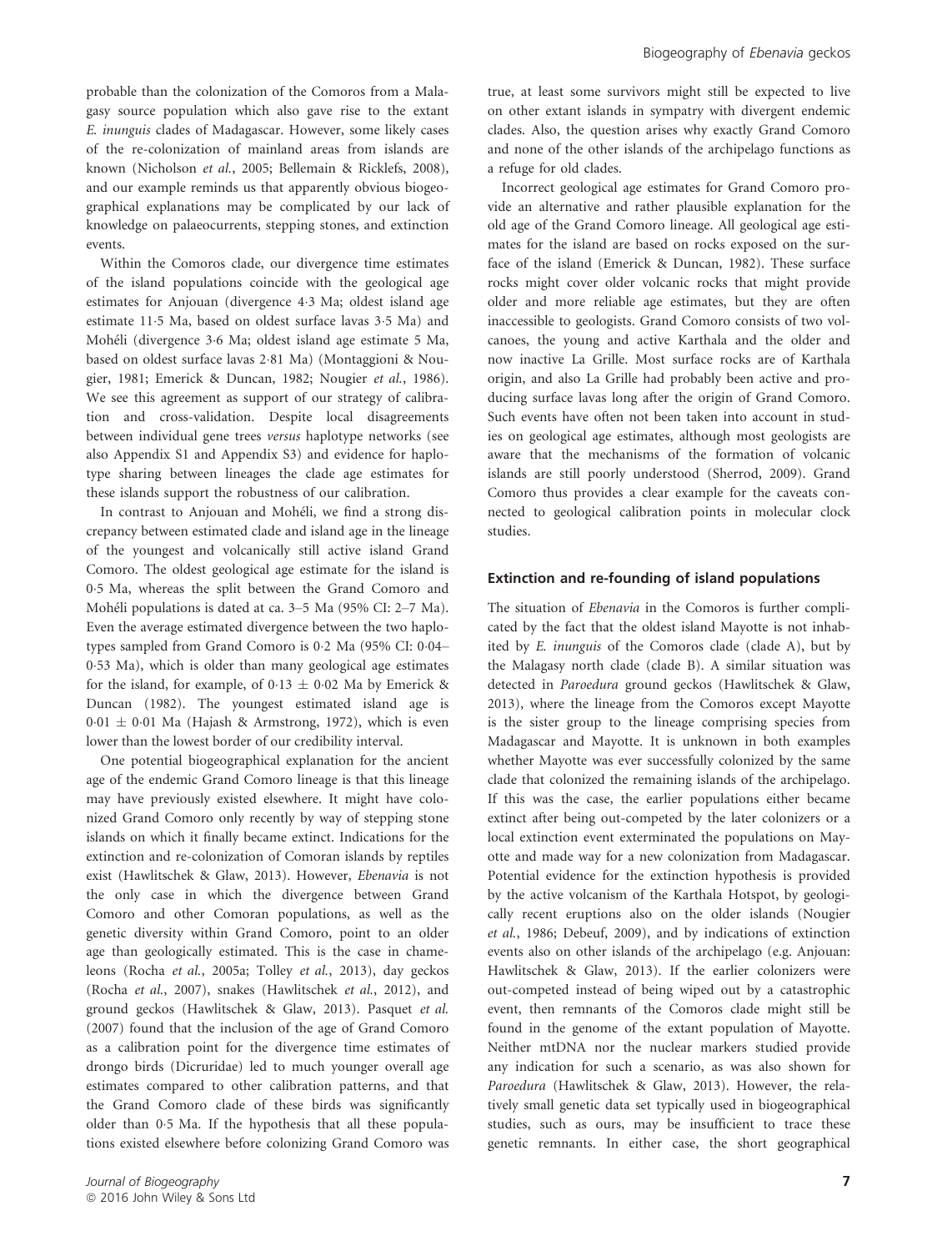probable than the colonization of the Comoros from a Malagasy source population which also gave rise to the extant E. inunguis clades of Madagascar. However, some likely cases of the re-colonization of mainland areas from islands are known (Nicholson et al., 2005; Bellemain & Ricklefs, 2008), and our example reminds us that apparently obvious biogeographical explanations may be complicated by our lack of knowledge on palaeocurrents, stepping stones, and extinction events.

Within the Comoros clade, our divergence time estimates of the island populations coincide with the geological age estimates for Anjouan (divergence 43 Ma; oldest island age estimate 115 Ma, based on oldest surface lavas 35 Ma) and Moheli (divergence 36 Ma; oldest island age estimate 5 Ma, based on oldest surface lavas 281 Ma) (Montaggioni & Nougier, 1981; Emerick & Duncan, 1982; Nougier et al., 1986). We see this agreement as support of our strategy of calibration and cross-validation. Despite local disagreements between individual gene trees versus haplotype networks (see also Appendix S1 and Appendix S3) and evidence for haplotype sharing between lineages the clade age estimates for these islands support the robustness of our calibration.

In contrast to Anjouan and Moheli, we find a strong discrepancy between estimated clade and island age in the lineage of the youngest and volcanically still active island Grand Comoro. The oldest geological age estimate for the island is 05 Ma, whereas the split between the Grand Comoro and Moheli populations is dated at ca. 3–5 Ma (95% CI: 2–7 Ma). Even the average estimated divergence between the two haplotypes sampled from Grand Comoro is  $0.2$  Ma (95% CI:  $0.04-$ 053 Ma), which is older than many geological age estimates for the island, for example, of 0.13  $\pm$  0.02 Ma by Emerick & Duncan (1982). The youngest estimated island age is  $0.01 \pm 0.01$  Ma (Hajash & Armstrong, 1972), which is even lower than the lowest border of our credibility interval.

One potential biogeographical explanation for the ancient age of the endemic Grand Comoro lineage is that this lineage may have previously existed elsewhere. It might have colonized Grand Comoro only recently by way of stepping stone islands on which it finally became extinct. Indications for the extinction and re-colonization of Comoran islands by reptiles exist (Hawlitschek & Glaw, 2013). However, Ebenavia is not the only case in which the divergence between Grand Comoro and other Comoran populations, as well as the genetic diversity within Grand Comoro, point to an older age than geologically estimated. This is the case in chameleons (Rocha et al., 2005a; Tolley et al., 2013), day geckos (Rocha et al., 2007), snakes (Hawlitschek et al., 2012), and ground geckos (Hawlitschek & Glaw, 2013). Pasquet et al. (2007) found that the inclusion of the age of Grand Comoro as a calibration point for the divergence time estimates of drongo birds (Dicruridae) led to much younger overall age estimates compared to other calibration patterns, and that the Grand Comoro clade of these birds was significantly older than 05 Ma. If the hypothesis that all these populations existed elsewhere before colonizing Grand Comoro was

true, at least some survivors might still be expected to live on other extant islands in sympatry with divergent endemic clades. Also, the question arises why exactly Grand Comoro and none of the other islands of the archipelago functions as a refuge for old clades.

Incorrect geological age estimates for Grand Comoro provide an alternative and rather plausible explanation for the old age of the Grand Comoro lineage. All geological age estimates for the island are based on rocks exposed on the surface of the island (Emerick & Duncan, 1982). These surface rocks might cover older volcanic rocks that might provide older and more reliable age estimates, but they are often inaccessible to geologists. Grand Comoro consists of two volcanoes, the young and active Karthala and the older and now inactive La Grille. Most surface rocks are of Karthala origin, and also La Grille had probably been active and producing surface lavas long after the origin of Grand Comoro. Such events have often not been taken into account in studies on geological age estimates, although most geologists are aware that the mechanisms of the formation of volcanic islands are still poorly understood (Sherrod, 2009). Grand Comoro thus provides a clear example for the caveats connected to geological calibration points in molecular clock studies.

#### Extinction and re-founding of island populations

The situation of Ebenavia in the Comoros is further complicated by the fact that the oldest island Mayotte is not inhabited by E. inunguis of the Comoros clade (clade A), but by the Malagasy north clade (clade B). A similar situation was detected in Paroedura ground geckos (Hawlitschek & Glaw, 2013), where the lineage from the Comoros except Mayotte is the sister group to the lineage comprising species from Madagascar and Mayotte. It is unknown in both examples whether Mayotte was ever successfully colonized by the same clade that colonized the remaining islands of the archipelago. If this was the case, the earlier populations either became extinct after being out-competed by the later colonizers or a local extinction event exterminated the populations on Mayotte and made way for a new colonization from Madagascar. Potential evidence for the extinction hypothesis is provided by the active volcanism of the Karthala Hotspot, by geologically recent eruptions also on the older islands (Nougier et al., 1986; Debeuf, 2009), and by indications of extinction events also on other islands of the archipelago (e.g. Anjouan: Hawlitschek & Glaw, 2013). If the earlier colonizers were out-competed instead of being wiped out by a catastrophic event, then remnants of the Comoros clade might still be found in the genome of the extant population of Mayotte. Neither mtDNA nor the nuclear markers studied provide any indication for such a scenario, as was also shown for Paroedura (Hawlitschek & Glaw, 2013). However, the relatively small genetic data set typically used in biogeographical studies, such as ours, may be insufficient to trace these genetic remnants. In either case, the short geographical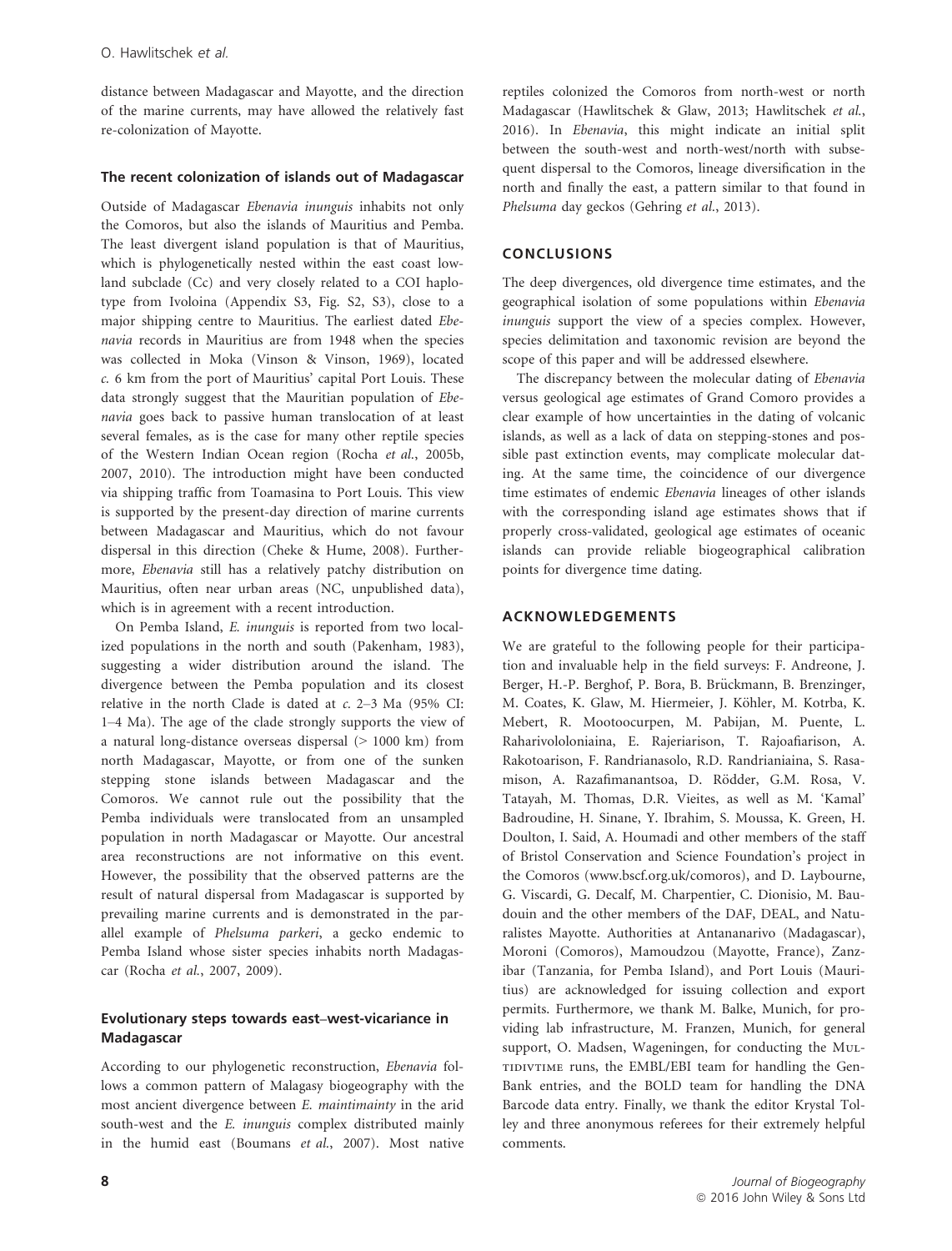distance between Madagascar and Mayotte, and the direction of the marine currents, may have allowed the relatively fast re-colonization of Mayotte.

## The recent colonization of islands out of Madagascar

Outside of Madagascar Ebenavia inunguis inhabits not only the Comoros, but also the islands of Mauritius and Pemba. The least divergent island population is that of Mauritius, which is phylogenetically nested within the east coast lowland subclade (Cc) and very closely related to a COI haplotype from Ivoloina (Appendix S3, Fig. S2, S3), close to a major shipping centre to Mauritius. The earliest dated Ebenavia records in Mauritius are from 1948 when the species was collected in Moka (Vinson & Vinson, 1969), located c. 6 km from the port of Mauritius' capital Port Louis. These data strongly suggest that the Mauritian population of Ebenavia goes back to passive human translocation of at least several females, as is the case for many other reptile species of the Western Indian Ocean region (Rocha et al., 2005b, 2007, 2010). The introduction might have been conducted via shipping traffic from Toamasina to Port Louis. This view is supported by the present-day direction of marine currents between Madagascar and Mauritius, which do not favour dispersal in this direction (Cheke & Hume, 2008). Furthermore, Ebenavia still has a relatively patchy distribution on Mauritius, often near urban areas (NC, unpublished data), which is in agreement with a recent introduction.

On Pemba Island, E. inunguis is reported from two localized populations in the north and south (Pakenham, 1983), suggesting a wider distribution around the island. The divergence between the Pemba population and its closest relative in the north Clade is dated at  $c$ . 2–3 Ma (95% CI: 1–4 Ma). The age of the clade strongly supports the view of a natural long-distance overseas dispersal (> 1000 km) from north Madagascar, Mayotte, or from one of the sunken stepping stone islands between Madagascar and the Comoros. We cannot rule out the possibility that the Pemba individuals were translocated from an unsampled population in north Madagascar or Mayotte. Our ancestral area reconstructions are not informative on this event. However, the possibility that the observed patterns are the result of natural dispersal from Madagascar is supported by prevailing marine currents and is demonstrated in the parallel example of Phelsuma parkeri, a gecko endemic to Pemba Island whose sister species inhabits north Madagascar (Rocha et al., 2007, 2009).

## Evolutionary steps towards east–west-vicariance in Madagascar

According to our phylogenetic reconstruction, Ebenavia follows a common pattern of Malagasy biogeography with the most ancient divergence between E. maintimainty in the arid south-west and the *E. inunguis* complex distributed mainly in the humid east (Boumans et al., 2007). Most native reptiles colonized the Comoros from north-west or north Madagascar (Hawlitschek & Glaw, 2013; Hawlitschek et al., 2016). In Ebenavia, this might indicate an initial split between the south-west and north-west/north with subsequent dispersal to the Comoros, lineage diversification in the north and finally the east, a pattern similar to that found in Phelsuma day geckos (Gehring et al., 2013).

# CONCLUSIONS

The deep divergences, old divergence time estimates, and the geographical isolation of some populations within Ebenavia inunguis support the view of a species complex. However, species delimitation and taxonomic revision are beyond the scope of this paper and will be addressed elsewhere.

The discrepancy between the molecular dating of Ebenavia versus geological age estimates of Grand Comoro provides a clear example of how uncertainties in the dating of volcanic islands, as well as a lack of data on stepping-stones and possible past extinction events, may complicate molecular dating. At the same time, the coincidence of our divergence time estimates of endemic Ebenavia lineages of other islands with the corresponding island age estimates shows that if properly cross-validated, geological age estimates of oceanic islands can provide reliable biogeographical calibration points for divergence time dating.

# ACKNOWLEDGEMENTS

We are grateful to the following people for their participation and invaluable help in the field surveys: F. Andreone, J. Berger, H.-P. Berghof, P. Bora, B. Brückmann, B. Brenzinger, M. Coates, K. Glaw, M. Hiermeier, J. Köhler, M. Kotrba, K. Mebert, R. Mootoocurpen, M. Pabijan, M. Puente, L. Raharivololoniaina, E. Rajeriarison, T. Rajoafiarison, A. Rakotoarison, F. Randrianasolo, R.D. Randrianiaina, S. Rasamison, A. Razafimanantsoa, D. Rödder, G.M. Rosa, V. Tatayah, M. Thomas, D.R. Vieites, as well as M. 'Kamal' Badroudine, H. Sinane, Y. Ibrahim, S. Moussa, K. Green, H. Doulton, I. Said, A. Houmadi and other members of the staff of Bristol Conservation and Science Foundation's project in the Comoros ([www.bscf.org.uk/comoros](http://www.bscf.org.uk/comoros)), and D. Laybourne, G. Viscardi, G. Decalf, M. Charpentier, C. Dionisio, M. Baudouin and the other members of the DAF, DEAL, and Naturalistes Mayotte. Authorities at Antananarivo (Madagascar), Moroni (Comoros), Mamoudzou (Mayotte, France), Zanzibar (Tanzania, for Pemba Island), and Port Louis (Mauritius) are acknowledged for issuing collection and export permits. Furthermore, we thank M. Balke, Munich, for providing lab infrastructure, M. Franzen, Munich, for general support, O. Madsen, Wageningen, for conducting the MuL-TIDIVTIME runs, the EMBL/EBI team for handling the Gen-Bank entries, and the BOLD team for handling the DNA Barcode data entry. Finally, we thank the editor Krystal Tolley and three anonymous referees for their extremely helpful comments.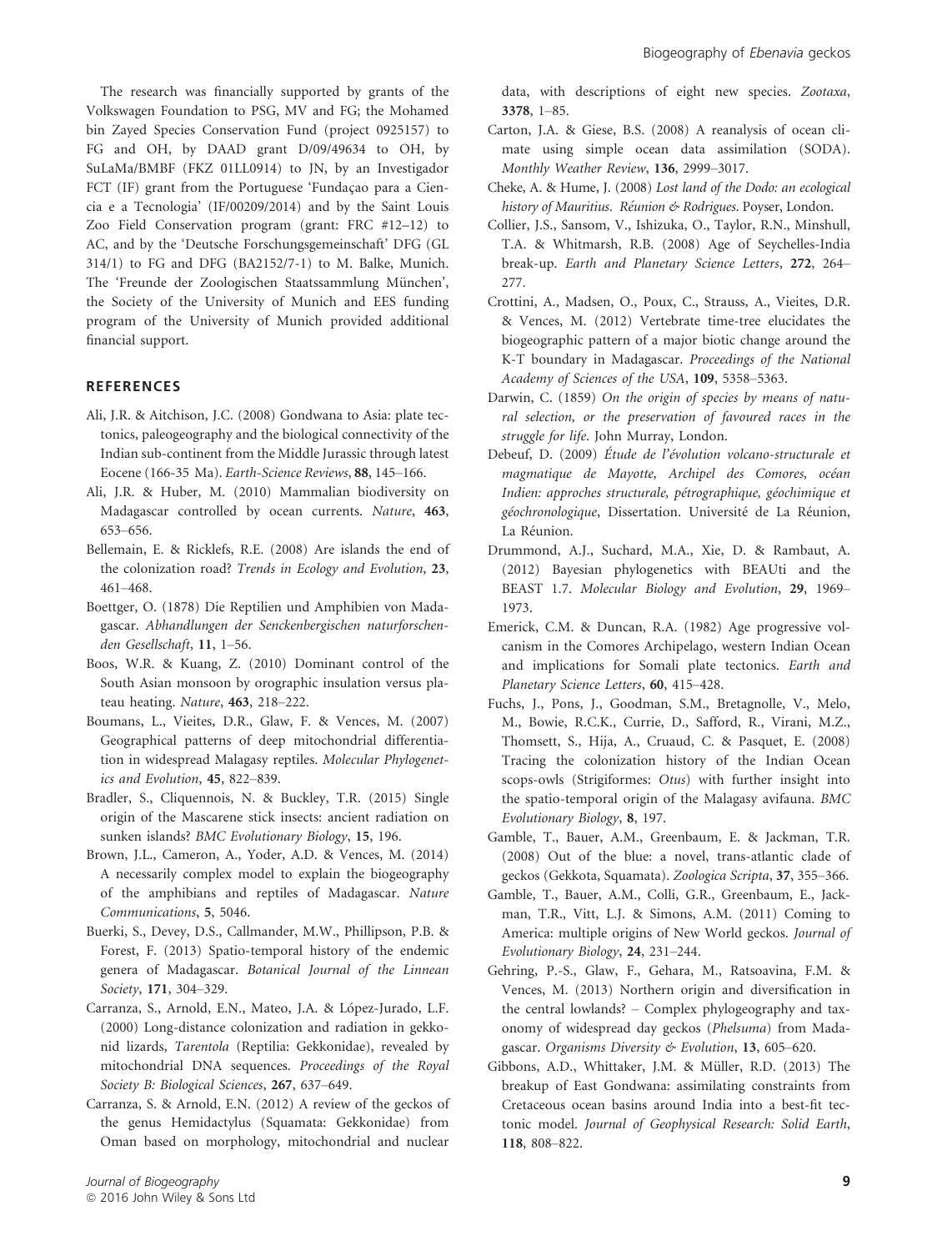The research was financially supported by grants of the Volkswagen Foundation to PSG, MV and FG; the Mohamed bin Zayed Species Conservation Fund (project 0925157) to FG and OH, by DAAD grant D/09/49634 to OH, by SuLaMa/BMBF (FKZ 01LL0914) to JN, by an Investigador FCT (IF) grant from the Portuguese 'Fundacao para a Ciencia e a Tecnologia' (IF/00209/2014) and by the Saint Louis Zoo Field Conservation program (grant: FRC #12–12) to AC, and by the 'Deutsche Forschungsgemeinschaft' DFG (GL 314/1) to FG and DFG (BA2152/7-1) to M. Balke, Munich. The 'Freunde der Zoologischen Staatssammlung München', the Society of the University of Munich and EES funding program of the University of Munich provided additional financial support.

## **REFERENCES**

- Ali, J.R. & Aitchison, J.C. (2008) Gondwana to Asia: plate tectonics, paleogeography and the biological connectivity of the Indian sub-continent from the Middle Jurassic through latest Eocene (166-35 Ma). Earth-Science Reviews, 88, 145–166.
- Ali, J.R. & Huber, M. (2010) Mammalian biodiversity on Madagascar controlled by ocean currents. Nature, 463, 653–656.
- Bellemain, E. & Ricklefs, R.E. (2008) Are islands the end of the colonization road? Trends in Ecology and Evolution, 23, 461–468.
- Boettger, O. (1878) Die Reptilien und Amphibien von Madagascar. Abhandlungen der Senckenbergischen naturforschenden Gesellschaft, 11, 1–56.
- Boos, W.R. & Kuang, Z. (2010) Dominant control of the South Asian monsoon by orographic insulation versus plateau heating. Nature, 463, 218–222.
- Boumans, L., Vieites, D.R., Glaw, F. & Vences, M. (2007) Geographical patterns of deep mitochondrial differentiation in widespread Malagasy reptiles. Molecular Phylogenetics and Evolution, 45, 822–839.
- Bradler, S., Cliquennois, N. & Buckley, T.R. (2015) Single origin of the Mascarene stick insects: ancient radiation on sunken islands? BMC Evolutionary Biology, 15, 196.
- Brown, J.L., Cameron, A., Yoder, A.D. & Vences, M. (2014) A necessarily complex model to explain the biogeography of the amphibians and reptiles of Madagascar. Nature Communications, 5, 5046.
- Buerki, S., Devey, D.S., Callmander, M.W., Phillipson, P.B. & Forest, F. (2013) Spatio-temporal history of the endemic genera of Madagascar. Botanical Journal of the Linnean Society, 171, 304–329.
- Carranza, S., Arnold, E.N., Mateo, J.A. & López-Jurado, L.F. (2000) Long-distance colonization and radiation in gekkonid lizards, Tarentola (Reptilia: Gekkonidae), revealed by mitochondrial DNA sequences. Proceedings of the Royal Society B: Biological Sciences, 267, 637–649.
- Carranza, S. & Arnold, E.N. (2012) A review of the geckos of the genus Hemidactylus (Squamata: Gekkonidae) from Oman based on morphology, mitochondrial and nuclear

data, with descriptions of eight new species. Zootaxa, 3378, 1–85.

- Carton, J.A. & Giese, B.S. (2008) A reanalysis of ocean climate using simple ocean data assimilation (SODA). Monthly Weather Review, 136, 2999–3017.
- Cheke, A. & Hume, J. (2008) Lost land of the Dodo: an ecological history of Mauritius. Réunion & Rodrigues. Poyser, London.
- Collier, J.S., Sansom, V., Ishizuka, O., Taylor, R.N., Minshull, T.A. & Whitmarsh, R.B. (2008) Age of Seychelles-India break-up. Earth and Planetary Science Letters, 272, 264– 277.
- Crottini, A., Madsen, O., Poux, C., Strauss, A., Vieites, D.R. & Vences, M. (2012) Vertebrate time-tree elucidates the biogeographic pattern of a major biotic change around the K-T boundary in Madagascar. Proceedings of the National Academy of Sciences of the USA, 109, 5358–5363.
- Darwin, C. (1859) On the origin of species by means of natural selection, or the preservation of favoured races in the struggle for life. John Murray, London.
- Debeuf, D. (2009) Étude de l'évolution volcano-structurale et magmatique de Mayotte, Archipel des Comores, océan Indien: approches structurale, pétrographique, géochimique et g*éochronologique*, Dissertation. Université de La Réunion, La Réunion.
- Drummond, A.J., Suchard, M.A., Xie, D. & Rambaut, A. (2012) Bayesian phylogenetics with BEAUti and the BEAST 1.7. Molecular Biology and Evolution, 29, 1969– 1973.
- Emerick, C.M. & Duncan, R.A. (1982) Age progressive volcanism in the Comores Archipelago, western Indian Ocean and implications for Somali plate tectonics. Earth and Planetary Science Letters, 60, 415–428.
- Fuchs, J., Pons, J., Goodman, S.M., Bretagnolle, V., Melo, M., Bowie, R.C.K., Currie, D., Safford, R., Virani, M.Z., Thomsett, S., Hija, A., Cruaud, C. & Pasquet, E. (2008) Tracing the colonization history of the Indian Ocean scops-owls (Strigiformes: Otus) with further insight into the spatio-temporal origin of the Malagasy avifauna. BMC Evolutionary Biology, 8, 197.
- Gamble, T., Bauer, A.M., Greenbaum, E. & Jackman, T.R. (2008) Out of the blue: a novel, trans-atlantic clade of geckos (Gekkota, Squamata). Zoologica Scripta, 37, 355–366.
- Gamble, T., Bauer, A.M., Colli, G.R., Greenbaum, E., Jackman, T.R., Vitt, L.J. & Simons, A.M. (2011) Coming to America: multiple origins of New World geckos. Journal of Evolutionary Biology, 24, 231–244.
- Gehring, P.-S., Glaw, F., Gehara, M., Ratsoavina, F.M. & Vences, M. (2013) Northern origin and diversification in the central lowlands? – Complex phylogeography and taxonomy of widespread day geckos (Phelsuma) from Madagascar. Organisms Diversity & Evolution, 13, 605–620.
- Gibbons, A.D., Whittaker, J.M. & Müller, R.D. (2013) The breakup of East Gondwana: assimilating constraints from Cretaceous ocean basins around India into a best-fit tectonic model. Journal of Geophysical Research: Solid Earth, 118, 808–822.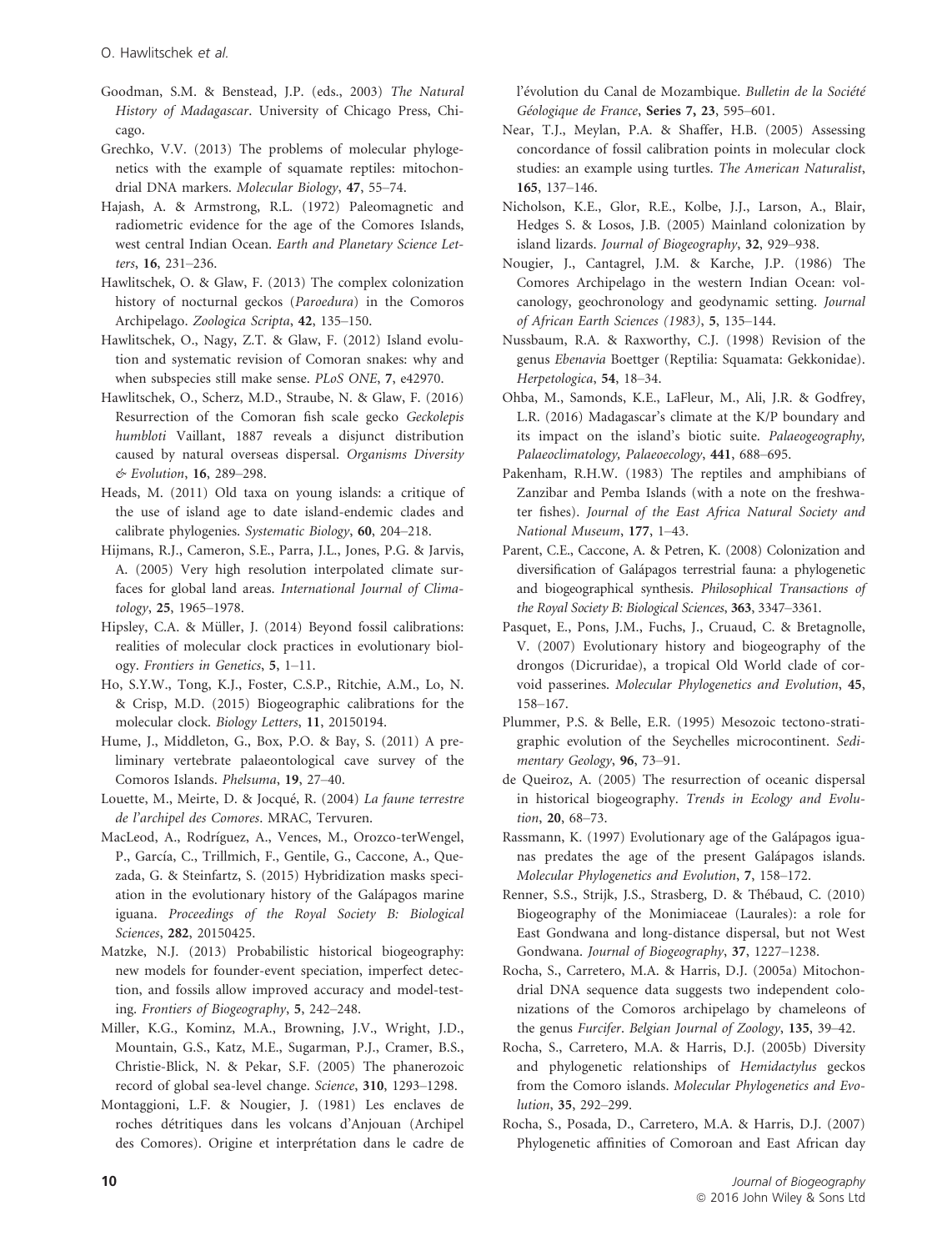- Goodman, S.M. & Benstead, J.P. (eds., 2003) The Natural History of Madagascar. University of Chicago Press, Chicago.
- Grechko, V.V. (2013) The problems of molecular phylogenetics with the example of squamate reptiles: mitochondrial DNA markers. Molecular Biology, 47, 55–74.
- Hajash, A. & Armstrong, R.L. (1972) Paleomagnetic and radiometric evidence for the age of the Comores Islands, west central Indian Ocean. Earth and Planetary Science Letters, 16, 231–236.
- Hawlitschek, O. & Glaw, F. (2013) The complex colonization history of nocturnal geckos (Paroedura) in the Comoros Archipelago. Zoologica Scripta, 42, 135–150.
- Hawlitschek, O., Nagy, Z.T. & Glaw, F. (2012) Island evolution and systematic revision of Comoran snakes: why and when subspecies still make sense. PLoS ONE, 7, e42970.
- Hawlitschek, O., Scherz, M.D., Straube, N. & Glaw, F. (2016) Resurrection of the Comoran fish scale gecko Geckolepis humbloti Vaillant, 1887 reveals a disjunct distribution caused by natural overseas dispersal. Organisms Diversity & Evolution, 16, 289–298.
- Heads, M. (2011) Old taxa on young islands: a critique of the use of island age to date island-endemic clades and calibrate phylogenies. Systematic Biology, 60, 204–218.
- Hijmans, R.J., Cameron, S.E., Parra, J.L., Jones, P.G. & Jarvis, A. (2005) Very high resolution interpolated climate surfaces for global land areas. International Journal of Climatology, 25, 1965–1978.
- Hipsley, C.A. & Müller, J. (2014) Beyond fossil calibrations: realities of molecular clock practices in evolutionary biology. Frontiers in Genetics, 5, 1–11.
- Ho, S.Y.W., Tong, K.J., Foster, C.S.P., Ritchie, A.M., Lo, N. & Crisp, M.D. (2015) Biogeographic calibrations for the molecular clock. Biology Letters, 11, 20150194.
- Hume, J., Middleton, G., Box, P.O. & Bay, S. (2011) A preliminary vertebrate palaeontological cave survey of the Comoros Islands. Phelsuma, 19, 27–40.
- Louette, M., Meirte, D. & Jocqué, R. (2004) La faune terrestre de l'archipel des Comores. MRAC, Tervuren.
- MacLeod, A., Rodrıguez, A., Vences, M., Orozco-terWengel, P., García, C., Trillmich, F., Gentile, G., Caccone, A., Quezada, G. & Steinfartz, S. (2015) Hybridization masks speciation in the evolutionary history of the Galápagos marine iguana. Proceedings of the Royal Society B: Biological Sciences, 282, 20150425.
- Matzke, N.J. (2013) Probabilistic historical biogeography: new models for founder-event speciation, imperfect detection, and fossils allow improved accuracy and model-testing. Frontiers of Biogeography, 5, 242–248.
- Miller, K.G., Kominz, M.A., Browning, J.V., Wright, J.D., Mountain, G.S., Katz, M.E., Sugarman, P.J., Cramer, B.S., Christie-Blick, N. & Pekar, S.F. (2005) The phanerozoic record of global sea-level change. Science, 310, 1293–1298.
- Montaggioni, L.F. & Nougier, J. (1981) Les enclaves de roches detritiques dans les volcans d'Anjouan (Archipel des Comores). Origine et interprétation dans le cadre de

l'évolution du Canal de Mozambique. *Bulletin de la Société* Géologique de France, Series 7, 23, 595-601.

- Near, T.J., Meylan, P.A. & Shaffer, H.B. (2005) Assessing concordance of fossil calibration points in molecular clock studies: an example using turtles. The American Naturalist, 165, 137–146.
- Nicholson, K.E., Glor, R.E., Kolbe, J.J., Larson, A., Blair, Hedges S. & Losos, J.B. (2005) Mainland colonization by island lizards. Journal of Biogeography, 32, 929–938.
- Nougier, J., Cantagrel, J.M. & Karche, J.P. (1986) The Comores Archipelago in the western Indian Ocean: volcanology, geochronology and geodynamic setting. Journal of African Earth Sciences (1983), 5, 135–144.
- Nussbaum, R.A. & Raxworthy, C.J. (1998) Revision of the genus Ebenavia Boettger (Reptilia: Squamata: Gekkonidae). Herpetologica, 54, 18–34.
- Ohba, M., Samonds, K.E., LaFleur, M., Ali, J.R. & Godfrey, L.R. (2016) Madagascar's climate at the K/P boundary and its impact on the island's biotic suite. Palaeogeography, Palaeoclimatology, Palaeoecology, 441, 688–695.
- Pakenham, R.H.W. (1983) The reptiles and amphibians of Zanzibar and Pemba Islands (with a note on the freshwater fishes). Journal of the East Africa Natural Society and National Museum, 177, 1–43.
- Parent, C.E., Caccone, A. & Petren, K. (2008) Colonization and diversification of Galapagos terrestrial fauna: a phylogenetic and biogeographical synthesis. Philosophical Transactions of the Royal Society B: Biological Sciences, 363, 3347–3361.
- Pasquet, E., Pons, J.M., Fuchs, J., Cruaud, C. & Bretagnolle, V. (2007) Evolutionary history and biogeography of the drongos (Dicruridae), a tropical Old World clade of corvoid passerines. Molecular Phylogenetics and Evolution, 45, 158–167.
- Plummer, P.S. & Belle, E.R. (1995) Mesozoic tectono-stratigraphic evolution of the Seychelles microcontinent. Sedimentary Geology, 96, 73–91.
- de Queiroz, A. (2005) The resurrection of oceanic dispersal in historical biogeography. Trends in Ecology and Evolution, 20, 68–73.
- Rassmann, K. (1997) Evolutionary age of the Galápagos iguanas predates the age of the present Galápagos islands. Molecular Phylogenetics and Evolution, 7, 158–172.
- Renner, S.S., Strijk, J.S., Strasberg, D. & Thebaud, C. (2010) Biogeography of the Monimiaceae (Laurales): a role for East Gondwana and long-distance dispersal, but not West Gondwana. Journal of Biogeography, 37, 1227–1238.
- Rocha, S., Carretero, M.A. & Harris, D.J. (2005a) Mitochondrial DNA sequence data suggests two independent colonizations of the Comoros archipelago by chameleons of the genus Furcifer. Belgian Journal of Zoology, 135, 39–42.
- Rocha, S., Carretero, M.A. & Harris, D.J. (2005b) Diversity and phylogenetic relationships of Hemidactylus geckos from the Comoro islands. Molecular Phylogenetics and Evolution, 35, 292–299.
- Rocha, S., Posada, D., Carretero, M.A. & Harris, D.J. (2007) Phylogenetic affinities of Comoroan and East African day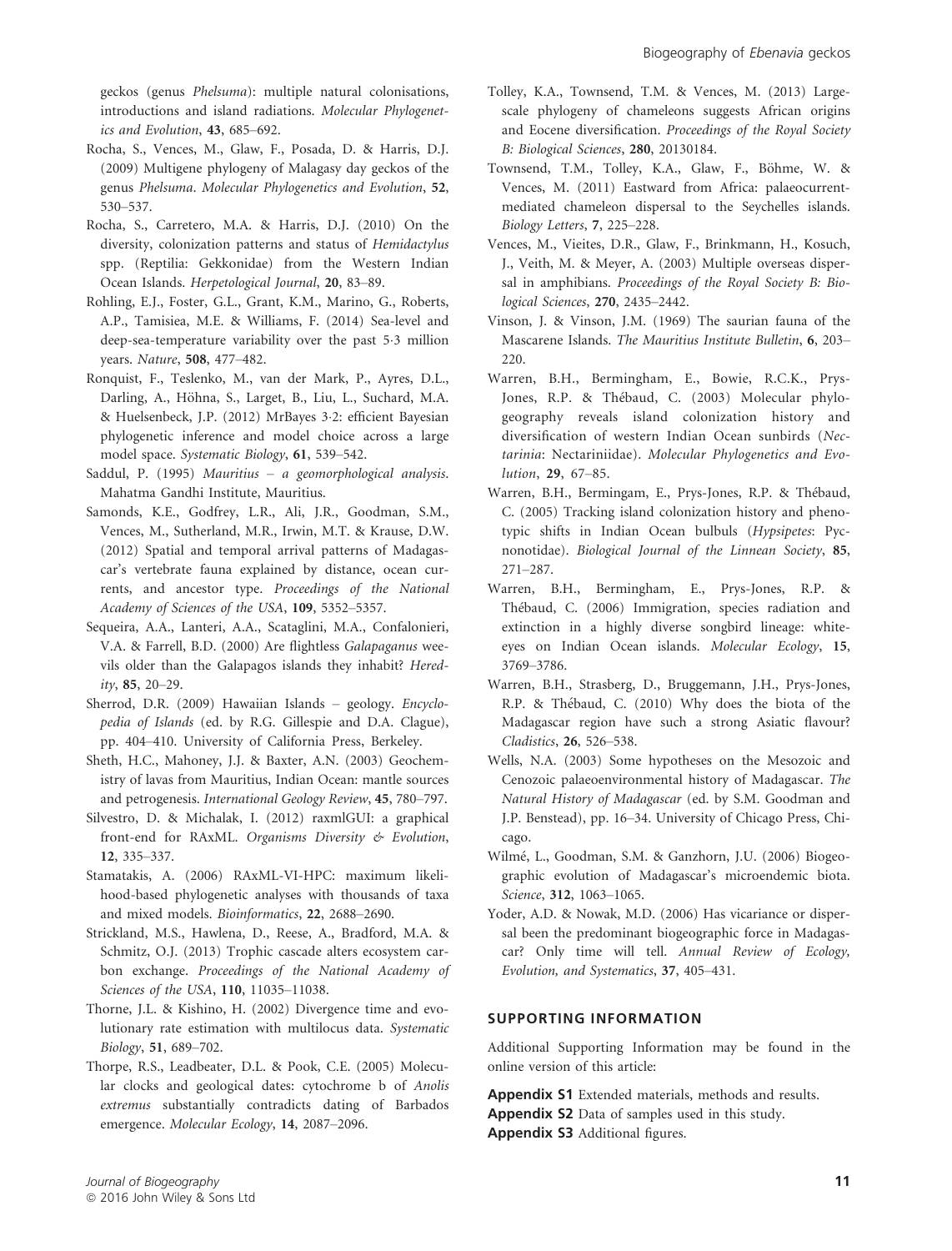geckos (genus Phelsuma): multiple natural colonisations, introductions and island radiations. Molecular Phylogenetics and Evolution, 43, 685–692.

- Rocha, S., Vences, M., Glaw, F., Posada, D. & Harris, D.J. (2009) Multigene phylogeny of Malagasy day geckos of the genus Phelsuma. Molecular Phylogenetics and Evolution, 52, 530–537.
- Rocha, S., Carretero, M.A. & Harris, D.J. (2010) On the diversity, colonization patterns and status of Hemidactylus spp. (Reptilia: Gekkonidae) from the Western Indian Ocean Islands. Herpetological Journal, 20, 83–89.
- Rohling, E.J., Foster, G.L., Grant, K.M., Marino, G., Roberts, A.P., Tamisiea, M.E. & Williams, F. (2014) Sea-level and deep-sea-temperature variability over the past 5.3 million years. Nature, 508, 477–482.
- Ronquist, F., Teslenko, M., van der Mark, P., Ayres, D.L., Darling, A., Höhna, S., Larget, B., Liu, L., Suchard, M.A. & Huelsenbeck, J.P. (2012) MrBayes 32: efficient Bayesian phylogenetic inference and model choice across a large model space. Systematic Biology, 61, 539–542.
- Saddul, P. (1995) Mauritius a geomorphological analysis. Mahatma Gandhi Institute, Mauritius.
- Samonds, K.E., Godfrey, L.R., Ali, J.R., Goodman, S.M., Vences, M., Sutherland, M.R., Irwin, M.T. & Krause, D.W. (2012) Spatial and temporal arrival patterns of Madagascar's vertebrate fauna explained by distance, ocean currents, and ancestor type. Proceedings of the National Academy of Sciences of the USA, 109, 5352–5357.
- Sequeira, A.A., Lanteri, A.A., Scataglini, M.A., Confalonieri, V.A. & Farrell, B.D. (2000) Are flightless Galapaganus weevils older than the Galapagos islands they inhabit? Heredity, 85, 20–29.
- Sherrod, D.R. (2009) Hawaiian Islands geology. Encyclopedia of Islands (ed. by R.G. Gillespie and D.A. Clague), pp. 404–410. University of California Press, Berkeley.
- Sheth, H.C., Mahoney, J.J. & Baxter, A.N. (2003) Geochemistry of lavas from Mauritius, Indian Ocean: mantle sources and petrogenesis. International Geology Review, 45, 780–797.
- Silvestro, D. & Michalak, I. (2012) raxmlGUI: a graphical front-end for RAxML. Organisms Diversity & Evolution, 12, 335–337.
- Stamatakis, A. (2006) RAxML-VI-HPC: maximum likelihood-based phylogenetic analyses with thousands of taxa and mixed models. Bioinformatics, 22, 2688–2690.
- Strickland, M.S., Hawlena, D., Reese, A., Bradford, M.A. & Schmitz, O.J. (2013) Trophic cascade alters ecosystem carbon exchange. Proceedings of the National Academy of Sciences of the USA, 110, 11035–11038.
- Thorne, J.L. & Kishino, H. (2002) Divergence time and evolutionary rate estimation with multilocus data. Systematic Biology, 51, 689–702.
- Thorpe, R.S., Leadbeater, D.L. & Pook, C.E. (2005) Molecular clocks and geological dates: cytochrome b of Anolis extremus substantially contradicts dating of Barbados emergence. Molecular Ecology, 14, 2087–2096.
- Tolley, K.A., Townsend, T.M. & Vences, M. (2013) Largescale phylogeny of chameleons suggests African origins and Eocene diversification. Proceedings of the Royal Society B: Biological Sciences, 280, 20130184.
- Townsend, T.M., Tolley, K.A., Glaw, F., Böhme, W. & Vences, M. (2011) Eastward from Africa: palaeocurrentmediated chameleon dispersal to the Seychelles islands. Biology Letters, 7, 225–228.
- Vences, M., Vieites, D.R., Glaw, F., Brinkmann, H., Kosuch, J., Veith, M. & Meyer, A. (2003) Multiple overseas dispersal in amphibians. Proceedings of the Royal Society B: Biological Sciences, 270, 2435–2442.
- Vinson, J. & Vinson, J.M. (1969) The saurian fauna of the Mascarene Islands. The Mauritius Institute Bulletin, 6, 203– 220.
- Warren, B.H., Bermingham, E., Bowie, R.C.K., Prys-Jones, R.P. & Thebaud, C. (2003) Molecular phylogeography reveals island colonization history and diversification of western Indian Ocean sunbirds (Nectarinia: Nectariniidae). Molecular Phylogenetics and Evolution, 29, 67–85.
- Warren, B.H., Bermingam, E., Prys-Jones, R.P. & Thebaud, C. (2005) Tracking island colonization history and phenotypic shifts in Indian Ocean bulbuls (Hypsipetes: Pycnonotidae). Biological Journal of the Linnean Society, 85, 271–287.
- Warren, B.H., Bermingham, E., Prys-Jones, R.P. & Thebaud, C. (2006) Immigration, species radiation and extinction in a highly diverse songbird lineage: whiteeyes on Indian Ocean islands. Molecular Ecology, 15, 3769–3786.
- Warren, B.H., Strasberg, D., Bruggemann, J.H., Prys-Jones, R.P. & Thebaud, C. (2010) Why does the biota of the Madagascar region have such a strong Asiatic flavour? Cladistics, 26, 526–538.
- Wells, N.A. (2003) Some hypotheses on the Mesozoic and Cenozoic palaeoenvironmental history of Madagascar. The Natural History of Madagascar (ed. by S.M. Goodman and J.P. Benstead), pp. 16–34. University of Chicago Press, Chicago.
- Wilme, L., Goodman, S.M. & Ganzhorn, J.U. (2006) Biogeographic evolution of Madagascar's microendemic biota. Science, 312, 1063–1065.
- Yoder, A.D. & Nowak, M.D. (2006) Has vicariance or dispersal been the predominant biogeographic force in Madagascar? Only time will tell. Annual Review of Ecology, Evolution, and Systematics, 37, 405–431.

## SUPPORTING INFORMATION

Additional Supporting Information may be found in the online version of this article:

Appendix S1 Extended materials, methods and results. Appendix S2 Data of samples used in this study. Appendix S3 Additional figures.